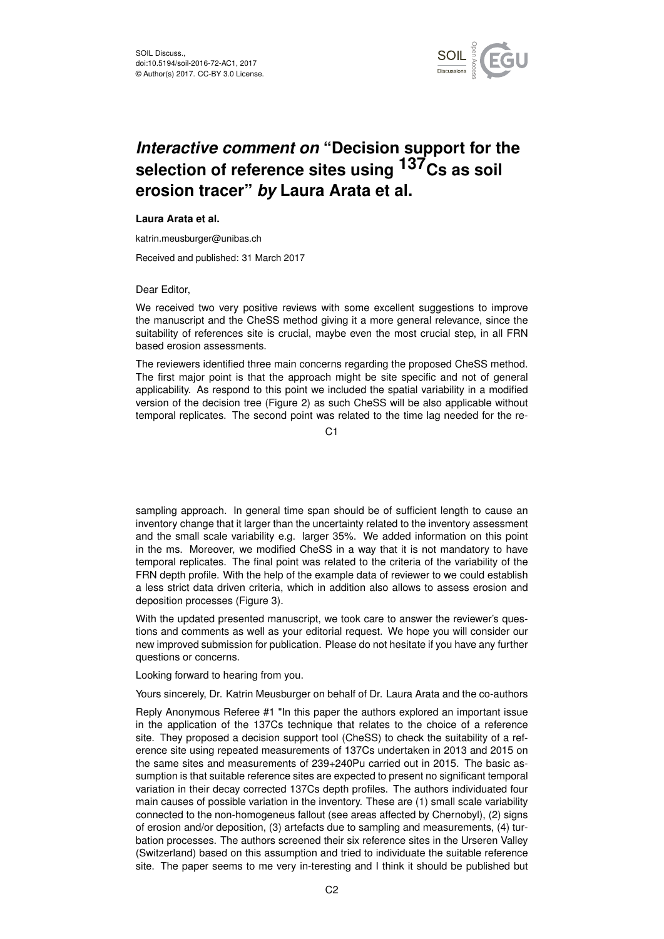

## *Interactive comment on* **"Decision support for the** selection of reference sites using <sup>137</sup>Cs as soil **erosion tracer"** *by* **Laura Arata et al.**

## **Laura Arata et al.**

katrin.meusburger@unibas.ch

Received and published: 31 March 2017

## Dear Editor,

We received two very positive reviews with some excellent suggestions to improve the manuscript and the CheSS method giving it a more general relevance, since the suitability of references site is crucial, maybe even the most crucial step, in all FRN based erosion assessments.

The reviewers identified three main concerns regarding the proposed CheSS method. The first major point is that the approach might be site specific and not of general applicability. As respond to this point we included the spatial variability in a modified version of the decision tree (Figure 2) as such CheSS will be also applicable without temporal replicates. The second point was related to the time lag needed for the re-

 $C<sub>1</sub>$ 

sampling approach. In general time span should be of sufficient length to cause an inventory change that it larger than the uncertainty related to the inventory assessment and the small scale variability e.g. larger 35%. We added information on this point in the ms. Moreover, we modified CheSS in a way that it is not mandatory to have temporal replicates. The final point was related to the criteria of the variability of the FRN depth profile. With the help of the example data of reviewer to we could establish a less strict data driven criteria, which in addition also allows to assess erosion and deposition processes (Figure 3).

With the updated presented manuscript, we took care to answer the reviewer's questions and comments as well as your editorial request. We hope you will consider our new improved submission for publication. Please do not hesitate if you have any further questions or concerns.

Looking forward to hearing from you.

Yours sincerely, Dr. Katrin Meusburger on behalf of Dr. Laura Arata and the co-authors

Reply Anonymous Referee #1 "In this paper the authors explored an important issue in the application of the 137Cs technique that relates to the choice of a reference site. They proposed a decision support tool (CheSS) to check the suitability of a reference site using repeated measurements of 137Cs undertaken in 2013 and 2015 on the same sites and measurements of 239+240Pu carried out in 2015. The basic assumption is that suitable reference sites are expected to present no significant temporal variation in their decay corrected 137Cs depth profiles. The authors individuated four main causes of possible variation in the inventory. These are (1) small scale variability connected to the non-homogeneus fallout (see areas affected by Chernobyl), (2) signs of erosion and/or deposition, (3) artefacts due to sampling and measurements, (4) turbation processes. The authors screened their six reference sites in the Urseren Valley (Switzerland) based on this assumption and tried to individuate the suitable reference site. The paper seems to me very in-teresting and I think it should be published but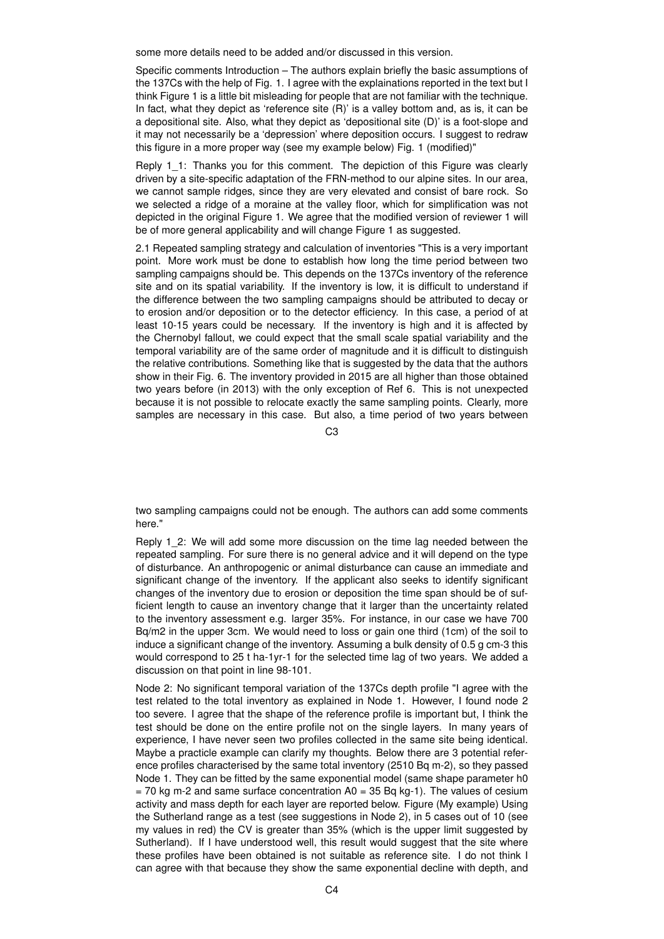some more details need to be added and/or discussed in this version.

Specific comments Introduction – The authors explain briefly the basic assumptions of the 137Cs with the help of Fig. 1. I agree with the explainations reported in the text but I think Figure 1 is a little bit misleading for people that are not familiar with the technique. In fact, what they depict as 'reference site  $(R)$ ' is a valley bottom and, as is, it can be a depositional site. Also, what they depict as 'depositional site (D)' is a foot-slope and it may not necessarily be a 'depression' where deposition occurs. I suggest to redraw this figure in a more proper way (see my example below) Fig. 1 (modified)"

Reply 1\_1: Thanks you for this comment. The depiction of this Figure was clearly driven by a site-specific adaptation of the FRN-method to our alpine sites. In our area, we cannot sample ridges, since they are very elevated and consist of bare rock. So we selected a ridge of a moraine at the valley floor, which for simplification was not depicted in the original Figure 1. We agree that the modified version of reviewer 1 will be of more general applicability and will change Figure 1 as suggested.

2.1 Repeated sampling strategy and calculation of inventories "This is a very important point. More work must be done to establish how long the time period between two sampling campaigns should be. This depends on the 137Cs inventory of the reference site and on its spatial variability. If the inventory is low, it is difficult to understand if the difference between the two sampling campaigns should be attributed to decay or to erosion and/or deposition or to the detector efficiency. In this case, a period of at least 10-15 years could be necessary. If the inventory is high and it is affected by the Chernobyl fallout, we could expect that the small scale spatial variability and the temporal variability are of the same order of magnitude and it is difficult to distinguish the relative contributions. Something like that is suggested by the data that the authors show in their Fig. 6. The inventory provided in 2015 are all higher than those obtained two years before (in 2013) with the only exception of Ref 6. This is not unexpected because it is not possible to relocate exactly the same sampling points. Clearly, more samples are necessary in this case. But also, a time period of two years between

C3

two sampling campaigns could not be enough. The authors can add some comments here."

Reply 1\_2: We will add some more discussion on the time lag needed between the repeated sampling. For sure there is no general advice and it will depend on the type of disturbance. An anthropogenic or animal disturbance can cause an immediate and significant change of the inventory. If the applicant also seeks to identify significant changes of the inventory due to erosion or deposition the time span should be of sufficient length to cause an inventory change that it larger than the uncertainty related to the inventory assessment e.g. larger 35%. For instance, in our case we have 700 Bq/m2 in the upper 3cm. We would need to loss or gain one third (1cm) of the soil to induce a significant change of the inventory. Assuming a bulk density of 0.5 g cm-3 this would correspond to 25 t ha-1yr-1 for the selected time lag of two years. We added a discussion on that point in line 98-101.

Node 2: No significant temporal variation of the 137Cs depth profile "I agree with the test related to the total inventory as explained in Node 1. However, I found node 2 too severe. I agree that the shape of the reference profile is important but, I think the test should be done on the entire profile not on the single layers. In many years of experience, I have never seen two profiles collected in the same site being identical. Maybe a practicle example can clarify my thoughts. Below there are 3 potential reference profiles characterised by the same total inventory (2510 Bq m-2), so they passed Node 1. They can be fitted by the same exponential model (same shape parameter h0  $= 70$  kg m-2 and same surface concentration A0  $= 35$  Bq kg-1). The values of cesium activity and mass depth for each layer are reported below. Figure (My example) Using the Sutherland range as a test (see suggestions in Node 2), in 5 cases out of 10 (see my values in red) the CV is greater than 35% (which is the upper limit suggested by Sutherland). If I have understood well, this result would suggest that the site where these profiles have been obtained is not suitable as reference site. I do not think I can agree with that because they show the same exponential decline with depth, and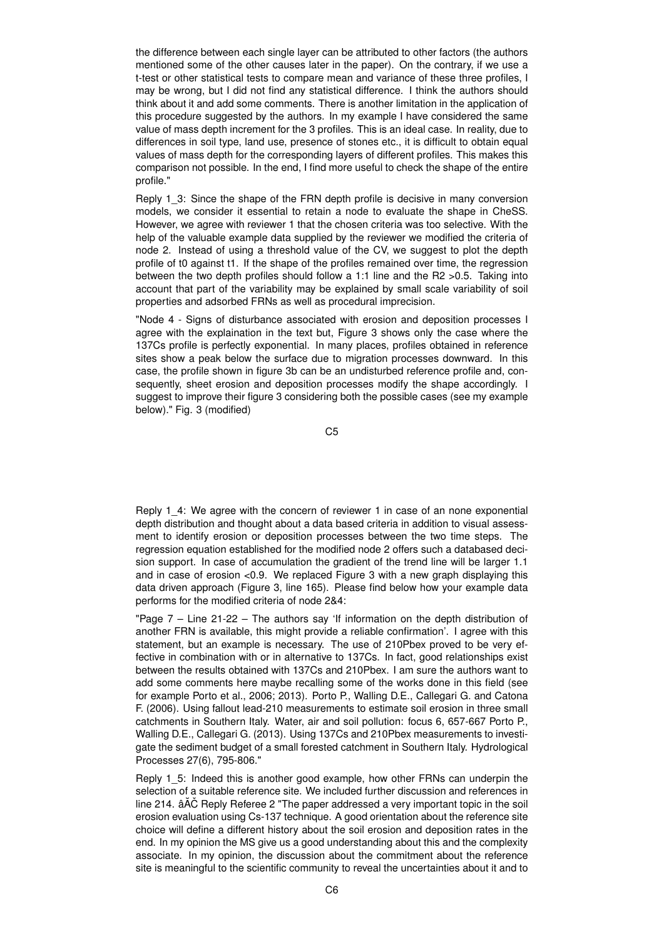the difference between each single layer can be attributed to other factors (the authors mentioned some of the other causes later in the paper). On the contrary, if we use a t-test or other statistical tests to compare mean and variance of these three profiles, I may be wrong, but I did not find any statistical difference. I think the authors should think about it and add some comments. There is another limitation in the application of this procedure suggested by the authors. In my example I have considered the same value of mass depth increment for the 3 profiles. This is an ideal case. In reality, due to differences in soil type, land use, presence of stones etc., it is difficult to obtain equal values of mass depth for the corresponding layers of different profiles. This makes this comparison not possible. In the end, I find more useful to check the shape of the entire profile."

Reply 1\_3: Since the shape of the FRN depth profile is decisive in many conversion models, we consider it essential to retain a node to evaluate the shape in CheSS. However, we agree with reviewer 1 that the chosen criteria was too selective. With the help of the valuable example data supplied by the reviewer we modified the criteria of node 2. Instead of using a threshold value of the CV, we suggest to plot the depth profile of t0 against t1. If the shape of the profiles remained over time, the regression between the two depth profiles should follow a 1:1 line and the R2 >0.5. Taking into account that part of the variability may be explained by small scale variability of soil properties and adsorbed FRNs as well as procedural imprecision.

"Node 4 - Signs of disturbance associated with erosion and deposition processes I agree with the explaination in the text but, Figure 3 shows only the case where the 137Cs profile is perfectly exponential. In many places, profiles obtained in reference sites show a peak below the surface due to migration processes downward. In this case, the profile shown in figure 3b can be an undisturbed reference profile and, consequently, sheet erosion and deposition processes modify the shape accordingly. I suggest to improve their figure 3 considering both the possible cases (see my example below)." Fig. 3 (modified)

C5

Reply 1\_4: We agree with the concern of reviewer 1 in case of an none exponential depth distribution and thought about a data based criteria in addition to visual assessment to identify erosion or deposition processes between the two time steps. The regression equation established for the modified node 2 offers such a databased decision support. In case of accumulation the gradient of the trend line will be larger 1.1 and in case of erosion  $< 0.9$ . We replaced Figure 3 with a new graph displaying this data driven approach (Figure 3, line 165). Please find below how your example data performs for the modified criteria of node 2&4:

"Page 7 – Line 21-22 – The authors say 'If information on the depth distribution of another FRN is available, this might provide a reliable confirmation'. I agree with this statement, but an example is necessary. The use of 210Pbex proved to be very effective in combination with or in alternative to 137Cs. In fact, good relationships exist between the results obtained with 137Cs and 210Pbex. I am sure the authors want to add some comments here maybe recalling some of the works done in this field (see for example Porto et al., 2006; 2013). Porto P., Walling D.E., Callegari G. and Catona F. (2006). Using fallout lead-210 measurements to estimate soil erosion in three small catchments in Southern Italy. Water, air and soil pollution: focus 6, 657-667 Porto P., Walling D.E., Callegari G. (2013). Using 137Cs and 210Pbex measurements to investigate the sediment budget of a small forested catchment in Southern Italy. Hydrological Processes 27(6), 795-806."

Reply 1\_5: Indeed this is another good example, how other FRNs can underpin the selection of a suitable reference site. We included further discussion and references in line 214. â AC Reply Referee 2 "The paper addressed a very important topic in the soil erosion evaluation using Cs-137 technique. A good orientation about the reference site choice will define a different history about the soil erosion and deposition rates in the end. In my opinion the MS give us a good understanding about this and the complexity associate. In my opinion, the discussion about the commitment about the reference site is meaningful to the scientific community to reveal the uncertainties about it and to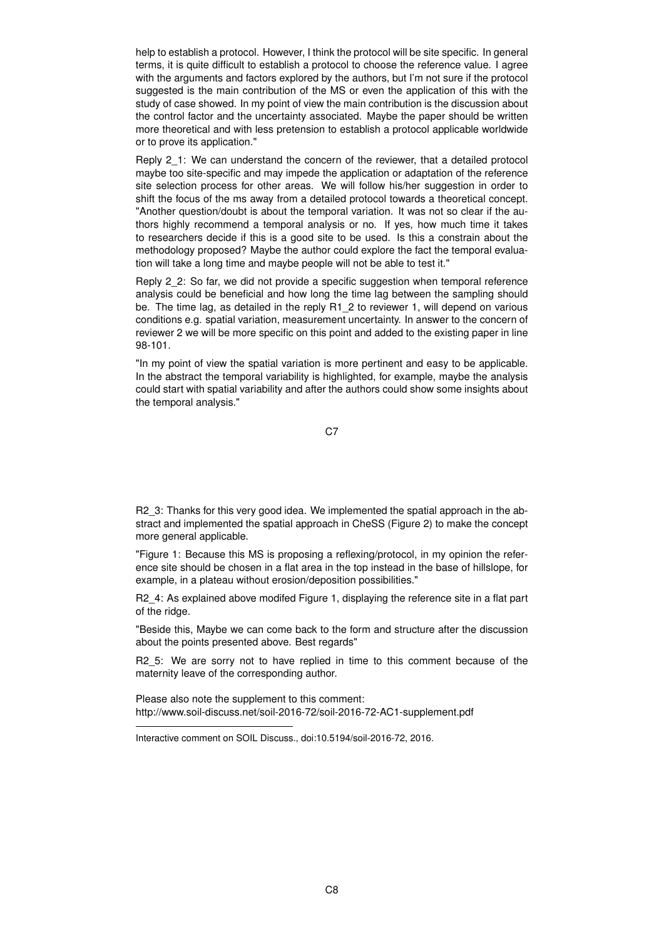help to establish a protocol. However, I think the protocol will be site specific. In general terms, it is quite difficult to establish a protocol to choose the reference value. I agree with the arguments and factors explored by the authors, but I'm not sure if the protocol suggested is the main contribution of the MS or even the application of this with the study of case showed. In my point of view the main contribution is the discussion about the control factor and the uncertainty associated. Maybe the paper should be written more theoretical and with less pretension to establish a protocol applicable worldwide or to prove its application."

Reply 2\_1: We can understand the concern of the reviewer, that a detailed protocol maybe too site-specific and may impede the application or adaptation of the reference site selection process for other areas. We will follow his/her suggestion in order to shift the focus of the ms away from a detailed protocol towards a theoretical concept. "Another question/doubt is about the temporal variation. It was not so clear if the authors highly recommend a temporal analysis or no. If yes, how much time it takes to researchers decide if this is a good site to be used. Is this a constrain about the methodology proposed? Maybe the author could explore the fact the temporal evaluation will take a long time and maybe people will not be able to test it."

Reply 2\_2: So far, we did not provide a specific suggestion when temporal reference analysis could be beneficial and how long the time lag between the sampling should be. The time lag, as detailed in the reply R1\_2 to reviewer 1, will depend on various conditions e.g. spatial variation, measurement uncertainty. In answer to the concern of reviewer 2 we will be more specific on this point and added to the existing paper in line 98-101.

"In my point of view the spatial variation is more pertinent and easy to be applicable. In the abstract the temporal variability is highlighted, for example, maybe the analysis could start with spatial variability and after the authors could show some insights about the temporal analysis."

C<sub>7</sub>

R2\_3: Thanks for this very good idea. We implemented the spatial approach in the abstract and implemented the spatial approach in CheSS (Figure 2) to make the concept more general applicable.

"Figure 1: Because this MS is proposing a reflexing/protocol, in my opinion the reference site should be chosen in a flat area in the top instead in the base of hillslope, for example, in a plateau without erosion/deposition possibilities."

R2\_4: As explained above modifed Figure 1, displaying the reference site in a flat part of the ridge.

"Beside this, Maybe we can come back to the form and structure after the discussion about the points presented above. Best regards"

R<sub>2</sub> 5: We are sorry not to have replied in time to this comment because of the maternity leave of the corresponding author.

Please also note the supplement to this comment: http://www.soil-discuss.net/soil-2016-72/soil-2016-72-AC1-supplement.pdf

Interactive comment on SOIL Discuss., doi:10.5194/soil-2016-72, 2016.